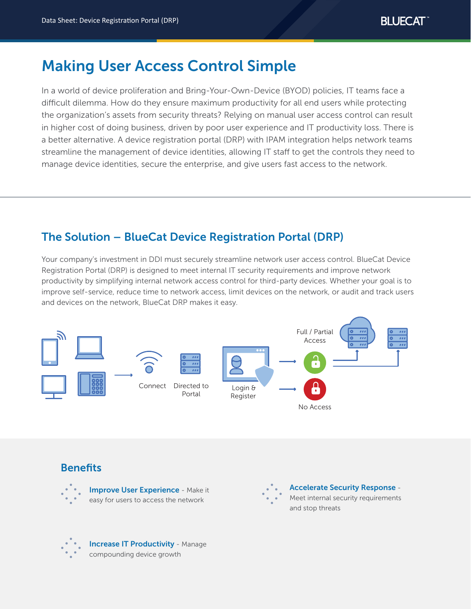# Making User Access Control Simple

In a world of device proliferation and Bring-Your-Own-Device (BYOD) policies, IT teams face a difficult dilemma. How do they ensure maximum productivity for all end users while protecting the organization's assets from security threats? Relying on manual user access control can result in higher cost of doing business, driven by poor user experience and IT productivity loss. There is a better alternative. A device registration portal (DRP) with IPAM integration helps network teams streamline the management of device identities, allowing IT staff to get the controls they need to manage device identities, secure the enterprise, and give users fast access to the network.

# The Solution – BlueCat Device Registration Portal (DRP)

Your company's investment in DDI must securely streamline network user access control. BlueCat Device Registration Portal (DRP) is designed to meet internal IT security requirements and improve network productivity by simplifying internal network access control for third-party devices. Whether your goal is to improve self-service, reduce time to network access, limit devices on the network, or audit and track users and devices on the network, BlueCat DRP makes it easy.



# **Benefits**



**Improve User Experience - Make it** easy for users to access the network



Accelerate Security Response - Meet internal security requirements and stop threats



Increase IT Productivity - Manage compounding device growth